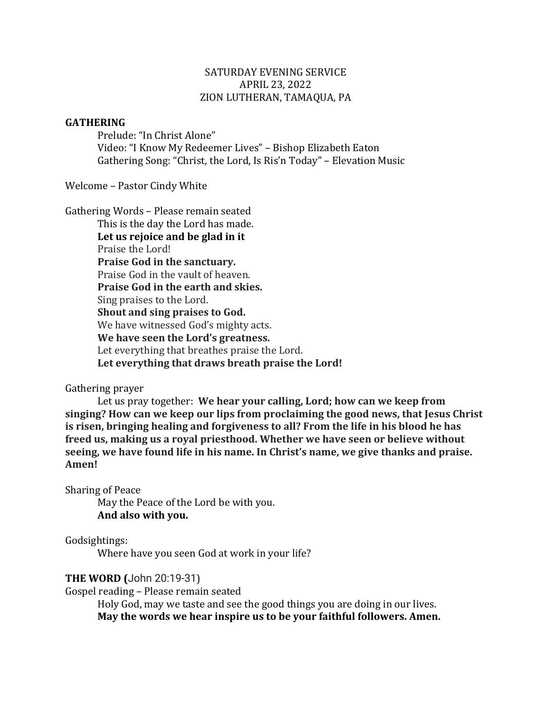## SATURDAY EVENING SERVICE APRIL 23, 2022 ZION LUTHERAN, TAMAQUA, PA

#### **GATHERING**

Prelude: "In Christ Alone" Video: "I Know My Redeemer Lives" - Bishop Elizabeth Eaton Gathering Song: "Christ, the Lord, Is Ris'n Today" – Elevation Music

Welcome - Pastor Cindy White

Gathering Words - Please remain seated This is the day the Lord has made. Let us rejoice and be glad in it Praise the Lord! **Praise God in the sanctuary.** Praise God in the vault of heaven. **Praise God in the earth and skies.** Sing praises to the Lord. **Shout and sing praises to God.** We have witnessed God's mighty acts. **We have seen the Lord's greatness.** Let everything that breathes praise the Lord. **Let everything that draws breath praise the Lord!**

## Gathering prayer

Let us pray together: We hear your calling, Lord; how can we keep from **singing? How can we keep our lips from proclaiming the good news, that Jesus Christ is risen, bringing healing and forgiveness to all? From the life in his blood he has** freed us, making us a royal priesthood. Whether we have seen or believe without **seeing, we have found life in his name. In Christ's name, we give thanks and praise. Amen!**

Sharing of Peace

May the Peace of the Lord be with you. **And also with you.**

Godsightings:

Where have you seen God at work in your life?

## **THE WORD (John 20:19-31)**

Gospel reading - Please remain seated

Holy God, may we taste and see the good things you are doing in our lives. May the words we hear inspire us to be your faithful followers. Amen.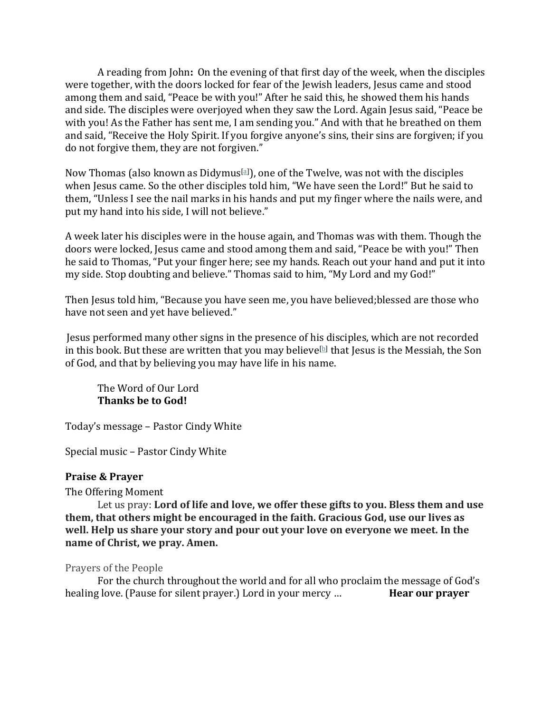A reading from John: On the evening of that first day of the week, when the disciples were together, with the doors locked for fear of the Jewish leaders, Jesus came and stood among them and said, "Peace be with you!" After he said this, he showed them his hands and side. The disciples were overjoyed when they saw the Lord. Again Jesus said, "Peace be with you! As the Father has sent me, I am sending you." And with that he breathed on them and said, "Receive the Holy Spirit. If you forgive anyone's sins, their sins are forgiven; if you do not forgive them, they are not forgiven."

Now Thomas (also known as Didymus[a]), one of the Twelve, was not with the disciples when Jesus came. So the other disciples told him, "We have seen the Lord!" But he said to them, "Unless I see the nail marks in his hands and put my finger where the nails were, and put my hand into his side, I will not believe."

A week later his disciples were in the house again, and Thomas was with them. Though the doors were locked, Jesus came and stood among them and said, "Peace be with you!" Then he said to Thomas, "Put your finger here; see my hands. Reach out your hand and put it into my side. Stop doubting and believe." Thomas said to him, "My Lord and my God!"

Then Jesus told him, "Because you have seen me, you have believed; blessed are those who have not seen and yet have believed."

Jesus performed many other signs in the presence of his disciples, which are not recorded in this book. But these are written that you may believe<sup>[b]</sup> that Jesus is the Messiah, the Son of God, and that by believing you may have life in his name.

The Word of Our Lord **Thanks be to God!** 

Today's message – Pastor Cindy White

Special music – Pastor Cindy White

## **Praise & Prayer**

The Offering Moment

Let us pray: Lord of life and love, we offer these gifts to you. Bless them and use **them, that others might be encouraged in the faith. Gracious God, use our lives as** well. Help us share your story and pour out your love on everyone we meet. In the **name of Christ, we pray. Amen.** 

## Prayers of the People

For the church throughout the world and for all who proclaim the message of God's healing love. (Pause for silent prayer.) Lord in your mercy ... **Hear our prayer**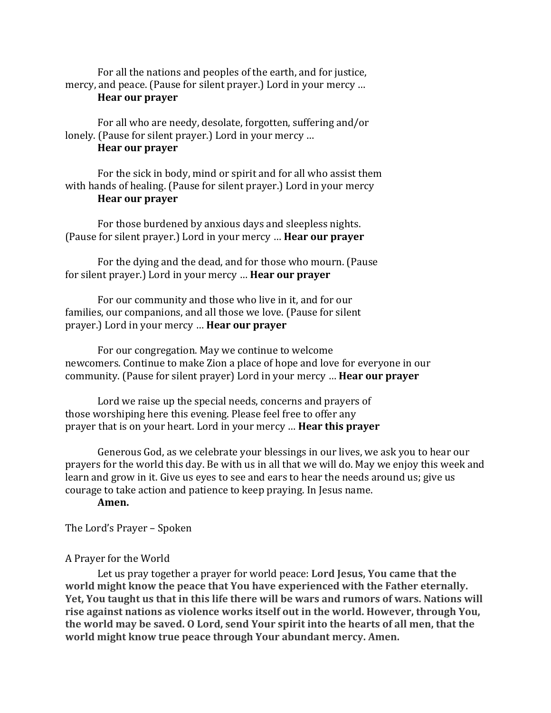For all the nations and peoples of the earth, and for justice, mercy, and peace. (Pause for silent prayer.) Lord in your mercy ... **Hear our prayer** 

For all who are needy, desolate, forgotten, suffering and/or lonely. (Pause for silent prayer.) Lord in your mercy ...

## **Hear our prayer**

For the sick in body, mind or spirit and for all who assist them with hands of healing. (Pause for silent prayer.) Lord in your mercy **Hear our prayer** 

For those burdened by anxious days and sleepless nights. (Pause for silent prayer.) Lord in your mercy ... **Hear our prayer** 

For the dying and the dead, and for those who mourn. (Pause for silent prayer.) Lord in your mercy ... **Hear our prayer** 

For our community and those who live in it, and for our families, our companions, and all those we love. (Pause for silent prayer.) Lord in your mercy … **Hear our prayer**

For our congregation. May we continue to welcome newcomers. Continue to make Zion a place of hope and love for everyone in our community. (Pause for silent prayer) Lord in your mercy ... **Hear our prayer** 

Lord we raise up the special needs, concerns and prayers of those worshiping here this evening. Please feel free to offer any prayer that is on your heart. Lord in your mercy ... **Hear this prayer** 

Generous God, as we celebrate your blessings in our lives, we ask you to hear our prayers for the world this day. Be with us in all that we will do. May we enjoy this week and learn and grow in it. Give us eyes to see and ears to hear the needs around us; give us courage to take action and patience to keep praying. In Jesus name.

#### **Amen.**

The Lord's Prayer - Spoken

#### A Prayer for the World

Let us pray together a prayer for world peace: Lord Jesus, You came that the **world might know the peace that You have experienced with the Father eternally.** Yet, You taught us that in this life there will be wars and rumors of wars. Nations will rise against nations as violence works itself out in the world. However, through You, the world may be saved. O Lord, send Your spirit into the hearts of all men, that the world might know true peace through Your abundant mercy. Amen.